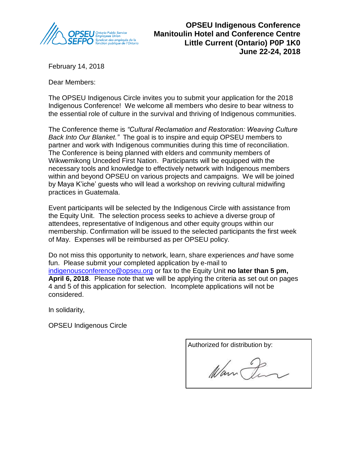

**OPSEU Indigenous Conference Manitoulin Hotel and Conference Centre Little Current (Ontario) P0P 1K0 June 22-24, 2018**

February 14, 2018

Dear Members:

The OPSEU Indigenous Circle invites you to submit your application for the 2018 Indigenous Conference! We welcome all members who desire to bear witness to the essential role of culture in the survival and thriving of Indigenous communities.

The Conference theme is *"Cultural Reclamation and Restoration: Weaving Culture Back Into Our Blanket."* The goal is to inspire and equip OPSEU members to partner and work with Indigenous communities during this time of reconciliation. The Conference is being planned with elders and community members of Wikwemikong Unceded First Nation. Participants will be equipped with the necessary tools and knowledge to effectively network with Indigenous members within and beyond OPSEU on various projects and campaigns. We will be joined by Maya K'iche' guests who will lead a workshop on reviving cultural midwifing practices in Guatemala.

Event participants will be selected by the Indigenous Circle with assistance from the Equity Unit. The selection process seeks to achieve a diverse group of attendees, representative of Indigenous and other equity groups within our membership. Confirmation will be issued to the selected participants the first week of May. Expenses will be reimbursed as per OPSEU policy.

Do not miss this opportunity to network, learn, share experiences *and* have some fun. Please submit your completed application by e-mail to indigenousconference@opseu.org or fax to the Equity Unit **no later than 5 pm, April 6, 2018**. Please note that we will be applying the criteria as set out on pages 4 and 5 of this application for selection. Incomplete applications will not be considered.

In solidarity,

OPSEU Indigenous Circle

Authorized for distribution by: Warn Den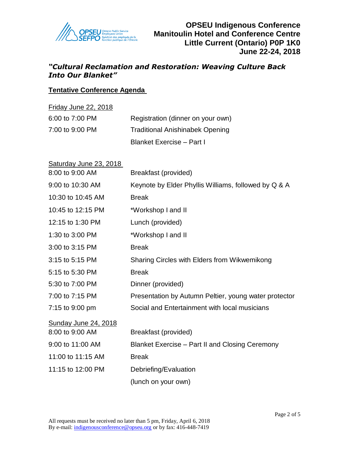

# *"Cultural Reclamation and Restoration: Weaving Culture Back Into Our Blanket"*

### **Tentative Conference Agenda**

| <b>Friday June 22, 2018</b> |                                        |  |  |
|-----------------------------|----------------------------------------|--|--|
| 6:00 to 7:00 PM             | Registration (dinner on your own)      |  |  |
| 7:00 to 9:00 PM             | <b>Traditional Anishinabek Opening</b> |  |  |
|                             | <b>Blanket Exercise - Part I</b>       |  |  |

| Saturday June 23, 2018                  |                                                       |
|-----------------------------------------|-------------------------------------------------------|
| 8:00 to 9:00 AM                         | Breakfast (provided)                                  |
| 9:00 to 10:30 AM                        | Keynote by Elder Phyllis Williams, followed by Q & A  |
| 10:30 to 10:45 AM                       | <b>Break</b>                                          |
| 10:45 to 12:15 PM                       | *Workshop I and II                                    |
| 12:15 to 1:30 PM                        | Lunch (provided)                                      |
| 1:30 to 3:00 PM                         | *Workshop I and II                                    |
| 3:00 to 3:15 PM                         | <b>Break</b>                                          |
| 3:15 to 5:15 PM                         | Sharing Circles with Elders from Wikwemikong          |
| 5:15 to 5:30 PM                         | <b>Break</b>                                          |
| 5:30 to 7:00 PM                         | Dinner (provided)                                     |
| 7:00 to 7:15 PM                         | Presentation by Autumn Peltier, young water protector |
| 7:15 to 9:00 pm                         | Social and Entertainment with local musicians         |
| Sunday June 24, 2018<br>8:00 to 9:00 AM | Breakfast (provided)                                  |
| 9:00 to 11:00 AM                        | Blanket Exercise – Part II and Closing Ceremony       |
| 11:00 to 11:15 AM                       | <b>Break</b>                                          |
| 11:15 to 12:00 PM                       | Debriefing/Evaluation                                 |
|                                         | (lunch on your own)                                   |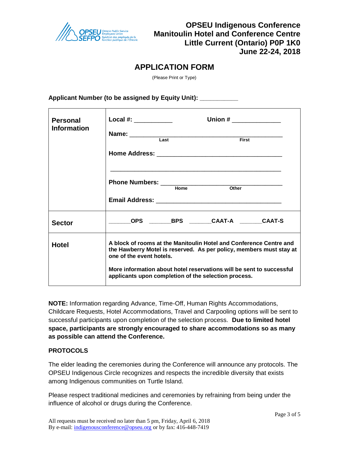

## **APPLICATION FORM**

(Please Print or Type)

Applicant Number (to be assigned by Equity Unit):

| <b>Personal</b><br><b>Information</b> | Local #: ____________<br>First<br>Last                                                                                                                                                                                                                                                                |  |  |  |  |
|---------------------------------------|-------------------------------------------------------------------------------------------------------------------------------------------------------------------------------------------------------------------------------------------------------------------------------------------------------|--|--|--|--|
|                                       |                                                                                                                                                                                                                                                                                                       |  |  |  |  |
| <b>Sector</b>                         |                                                                                                                                                                                                                                                                                                       |  |  |  |  |
| <b>Hotel</b>                          | A block of rooms at the Manitoulin Hotel and Conference Centre and<br>the Hawberry Motel is reserved. As per policy, members must stay at<br>one of the event hotels.<br>More information about hotel reservations will be sent to successful<br>applicants upon completion of the selection process. |  |  |  |  |

**NOTE:** Information regarding Advance, Time-Off, Human Rights Accommodations, Childcare Requests, Hotel Accommodations, Travel and Carpooling options will be sent to successful participants upon completion of the selection process. **Due to limited hotel space, participants are strongly encouraged to share accommodations so as many as possible can attend the Conference.**

#### **PROTOCOLS**

The elder leading the ceremonies during the Conference will announce any protocols. The OPSEU Indigenous Circle recognizes and respects the incredible diversity that exists among Indigenous communities on Turtle Island.

Please respect traditional medicines and ceremonies by refraining from being under the influence of alcohol or drugs during the Conference.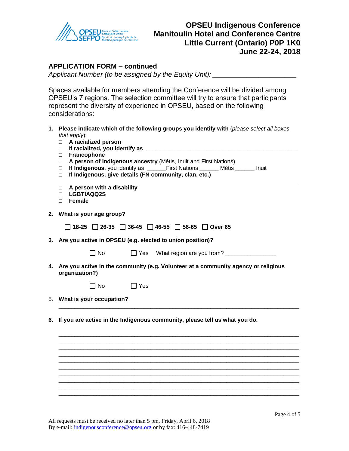

### **OPSEU Indigenous Conference Manitoulin Hotel and Conference Centre Little Current (Ontario) P0P 1K0 June 22-24, 2018**

### **APPLICATION FORM – continued**

*Applicant Number (to be assigned by the Equity Unit): \_\_\_\_\_\_\_\_\_\_\_\_\_\_\_\_\_\_\_\_\_\_*

Spaces available for members attending the Conference will be divided among OPSEU's 7 regions. The selection committee will try to ensure that participants represent the diversity of experience in OPSEU, based on the following considerations:

- **1. Please indicate which of the following groups you identify with** (*please select all boxes that apply*):
	- □ **A racialized person**
	- □ If racialized, you identify as <u><u>wee and the set of the set of the set of the set of the set of the set of the set of the set of the set of the set of the set of the set of the set of the set of the set of the set of th</u></u>
	- □ **Francophone**
	- □ **A person of Indigenous ancestry** (Métis, Inuit and First Nations)
	- □ **If Indigenous,** you identify as \_\_\_\_\_\_First Nations \_\_\_\_\_\_ Métis \_\_\_\_\_\_ Inuit
	- □ **If Indigenous, give details (FN community, clan, etc.)**
	- □ **A person with a disability**
	- □ **LGBTIAQQ2S**
	- □ **Female**
- **2. What is your age group?**

|  |  |  |  |  | $\Box$ 18-25 $\Box$ 26-35 $\Box$ 36-45 $\Box$ 46-55 $\Box$ 56-65 $\Box$ Over 65 |
|--|--|--|--|--|---------------------------------------------------------------------------------|
|--|--|--|--|--|---------------------------------------------------------------------------------|

- **3. Are you active in OPSEU (e.g. elected to union position)?** 
	-

No Yes What region are you from? \_\_\_\_\_\_\_\_\_\_\_\_\_\_\_\_

\_\_\_\_\_\_\_\_\_\_\_\_\_\_\_\_\_\_\_\_\_\_\_\_\_\_\_\_\_\_\_\_\_\_\_\_\_\_\_\_\_\_\_\_\_\_\_\_\_\_\_\_\_\_\_\_\_\_\_\_\_\_\_\_\_\_\_\_\_\_\_\_\_\_\_\_

\_\_\_\_\_\_\_\_\_\_\_\_\_\_\_\_\_\_\_\_\_\_\_\_\_\_\_\_\_\_\_\_\_\_\_\_\_\_\_\_\_\_\_\_\_\_\_\_\_\_\_\_\_\_\_\_\_\_\_\_\_\_\_\_\_\_\_\_\_\_\_\_\_\_\_\_ \_\_\_\_\_\_\_\_\_\_\_\_\_\_\_\_\_\_\_\_\_\_\_\_\_\_\_\_\_\_\_\_\_\_\_\_\_\_\_\_\_\_\_\_\_\_\_\_\_\_\_\_\_\_\_\_\_\_\_\_\_\_\_\_\_\_\_\_\_\_\_\_\_\_\_\_ \_\_\_\_\_\_\_\_\_\_\_\_\_\_\_\_\_\_\_\_\_\_\_\_\_\_\_\_\_\_\_\_\_\_\_\_\_\_\_\_\_\_\_\_\_\_\_\_\_\_\_\_\_\_\_\_\_\_\_\_\_\_\_\_\_\_\_\_\_\_\_\_\_\_\_\_ \_\_\_\_\_\_\_\_\_\_\_\_\_\_\_\_\_\_\_\_\_\_\_\_\_\_\_\_\_\_\_\_\_\_\_\_\_\_\_\_\_\_\_\_\_\_\_\_\_\_\_\_\_\_\_\_\_\_\_\_\_\_\_\_\_\_\_\_\_\_\_\_\_\_\_\_ \_\_\_\_\_\_\_\_\_\_\_\_\_\_\_\_\_\_\_\_\_\_\_\_\_\_\_\_\_\_\_\_\_\_\_\_\_\_\_\_\_\_\_\_\_\_\_\_\_\_\_\_\_\_\_\_\_\_\_\_\_\_\_\_\_\_\_\_\_\_\_\_\_\_\_\_ \_\_\_\_\_\_\_\_\_\_\_\_\_\_\_\_\_\_\_\_\_\_\_\_\_\_\_\_\_\_\_\_\_\_\_\_\_\_\_\_\_\_\_\_\_\_\_\_\_\_\_\_\_\_\_\_\_\_\_\_\_\_\_\_\_\_\_\_\_\_\_\_\_\_\_\_ \_\_\_\_\_\_\_\_\_\_\_\_\_\_\_\_\_\_\_\_\_\_\_\_\_\_\_\_\_\_\_\_\_\_\_\_\_\_\_\_\_\_\_\_\_\_\_\_\_\_\_\_\_\_\_\_\_\_\_\_\_\_\_\_\_\_\_\_\_\_\_\_\_\_\_\_ \_\_\_\_\_\_\_\_\_\_\_\_\_\_\_\_\_\_\_\_\_\_\_\_\_\_\_\_\_\_\_\_\_\_\_\_\_\_\_\_\_\_\_\_\_\_\_\_\_\_\_\_\_\_\_\_\_\_\_\_\_\_\_\_\_\_\_\_\_\_\_\_\_\_\_\_ \_\_\_\_\_\_\_\_\_\_\_\_\_\_\_\_\_\_\_\_\_\_\_\_\_\_\_\_\_\_\_\_\_\_\_\_\_\_\_\_\_\_\_\_\_\_\_\_\_\_\_\_\_\_\_\_\_\_\_\_\_\_\_\_\_\_\_\_\_\_\_\_\_\_\_\_ \_\_\_\_\_\_\_\_\_\_\_\_\_\_\_\_\_\_\_\_\_\_\_\_\_\_\_\_\_\_\_\_\_\_\_\_\_\_\_\_\_\_\_\_\_\_\_\_\_\_\_\_\_\_\_\_\_\_\_\_\_\_\_\_\_\_\_\_\_\_\_\_\_\_\_\_

\_\_\_\_\_\_\_\_\_\_\_\_\_\_\_\_\_\_\_\_\_\_\_\_\_\_\_\_\_\_\_\_\_\_\_\_\_\_\_\_\_\_\_\_\_\_\_\_\_\_\_\_\_\_\_\_\_\_\_\_\_\_\_\_\_\_\_\_\_\_\_\_

**4. Are you active in the community (e.g. Volunteer at a community agency or religious organization?)** 

| $\Box$ No | $\Box$ Yes |
|-----------|------------|
|-----------|------------|

- 5. **What is your occupation?**
- **6. If you are active in the Indigenous community, please tell us what you do.**